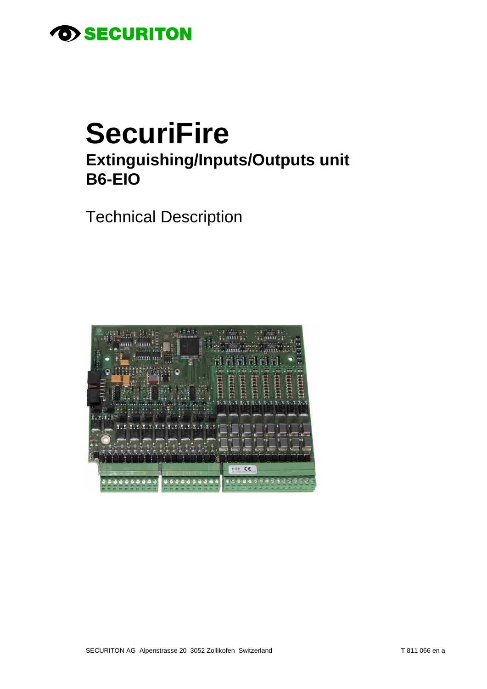

# **SecuriFire** Extinguishing/Inputs/Outputs unit **B6-EIO**

**Technical Description** 

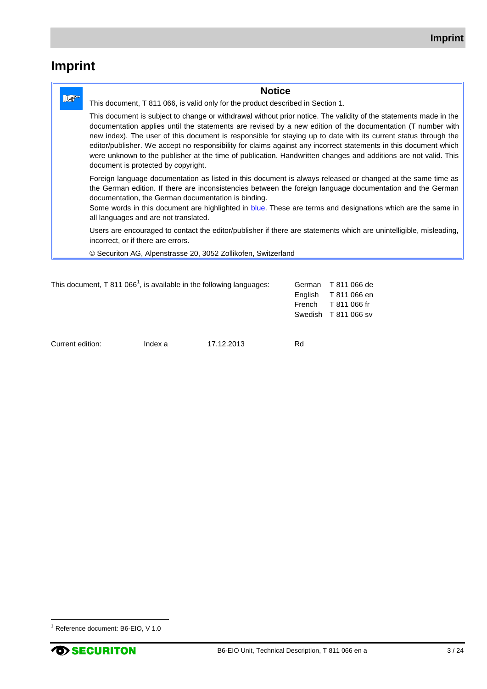# **Imprint**

|     | <b>Notice</b>                                                                                                                                                                                                                                                                                                                                                                                                                                                                                                                                                                                                                     |  |
|-----|-----------------------------------------------------------------------------------------------------------------------------------------------------------------------------------------------------------------------------------------------------------------------------------------------------------------------------------------------------------------------------------------------------------------------------------------------------------------------------------------------------------------------------------------------------------------------------------------------------------------------------------|--|
| l⁄® | This document, T 811 066, is valid only for the product described in Section 1.                                                                                                                                                                                                                                                                                                                                                                                                                                                                                                                                                   |  |
|     | This document is subject to change or withdrawal without prior notice. The validity of the statements made in the<br>documentation applies until the statements are revised by a new edition of the documentation (T number with<br>new index). The user of this document is responsible for staying up to date with its current status through the<br>editor/publisher. We accept no responsibility for claims against any incorrect statements in this document which<br>were unknown to the publisher at the time of publication. Handwritten changes and additions are not valid. This<br>document is protected by copyright. |  |
|     | Foreign language documentation as listed in this document is always released or changed at the same time as<br>the German edition. If there are inconsistencies between the foreign language documentation and the German<br>documentation, the German documentation is binding.<br>Some words in this document are highlighted in blue. These are terms and designations which are the same in<br>all languages and are not translated.                                                                                                                                                                                          |  |
|     | Users are encouraged to contact the editor/publisher if there are statements which are unintelligible, misleading,<br>incorrect, or if there are errors.                                                                                                                                                                                                                                                                                                                                                                                                                                                                          |  |
|     | © Securiton AG, Alpenstrasse 20, 3052 Zollikofen, Switzerland                                                                                                                                                                                                                                                                                                                                                                                                                                                                                                                                                                     |  |

| This document, T 811 066 <sup>1</sup> , is available in the following languages: |         |            | English<br>French | German T 811 066 de<br>T 811 066 en<br>T 811 066 fr<br>Swedish T 811 066 sv |
|----------------------------------------------------------------------------------|---------|------------|-------------------|-----------------------------------------------------------------------------|
| Current edition:                                                                 | Index a | 17.12.2013 | Rd                |                                                                             |

 $\overline{a}$ 

<sup>1</sup> Reference document: B6-EIO, V 1.0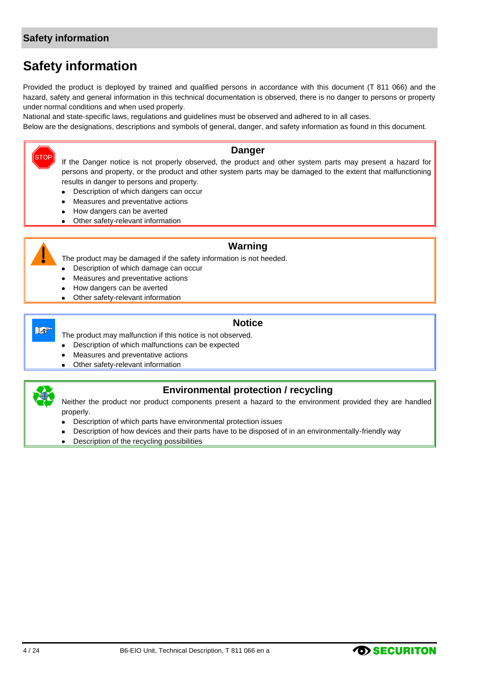# **Safety information**

Provided the product is deployed by trained and qualified persons in accordance with this document (T 811 066) and the hazard, safety and general information in this technical documentation is observed, there is no danger to persons or property under normal conditions and when used properly.

National and state-specific laws, regulations and guidelines must be observed and adhered to in all cases.

Below are the designations, descriptions and symbols of general, danger, and safety information as found in this document.

#### **Danger**

If the Danger notice is not properly observed, the product and other system parts may present a hazard for persons and property, or the product and other system parts may be damaged to the extent that malfunctioning results in danger to persons and property.

- Description of which dangers can occur  $\bullet$
- Measures and preventative actions
- How dangers can be averted
- Other safety-relevant information  $\bullet$



**STOP** 

## **Warning**

The product may be damaged if the safety information is not heeded.

- Description of which damage can occur
- Measures and preventative actions
- How dangers can be averted
- Other safety-relevant information



#### **Notice**

The product may malfunction if this notice is not observed.

- Description of which malfunctions can be expected  $\bullet$
- Measures and preventative actions
- Other safety-relevant information



# **Environmental protection / recycling**

Neither the product nor product components present a hazard to the environment provided they are handled properly.

- Description of which parts have environmental protection issues
- Description of how devices and their parts have to be disposed of in an environmentally-friendly way
- Description of the recycling possibilities $\bullet$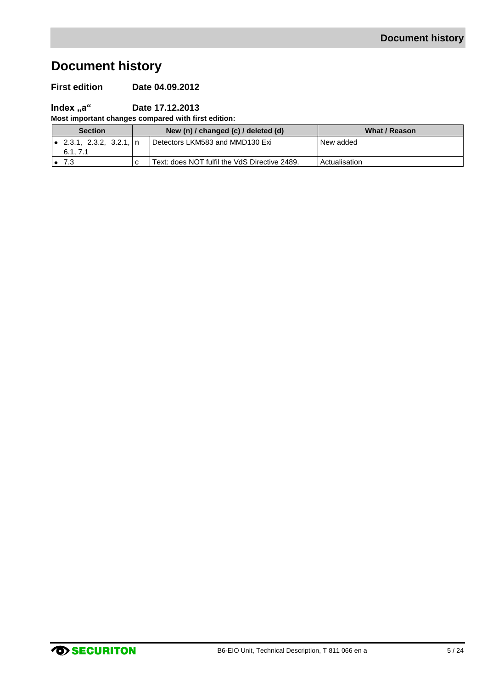# **Document history**

### **First edition Date 04.09.2012**

# **Index "a" Date 17.12.2013**

**Most important changes compared with first edition:**

| <b>Section</b>            | New (n) / changed (c) / deleted (d) |                                               | What / Reason |
|---------------------------|-------------------------------------|-----------------------------------------------|---------------|
| l● 2.3.1, 2.3.2, 3.2.1, n |                                     | Detectors LKM583 and MMD130 Exi               | New added     |
| 6.1, 7.1                  |                                     |                                               |               |
| 7.3                       |                                     | Text: does NOT fulfil the VdS Directive 2489. | Actualisation |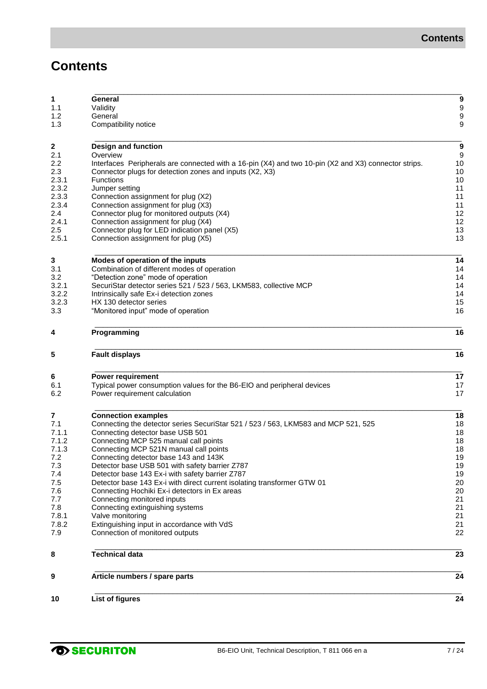# **Contents**

| 9<br>10        | Article numbers / spare parts<br><b>List of figures</b>                                              | 24<br>24 |
|----------------|------------------------------------------------------------------------------------------------------|----------|
| 8              | <b>Technical data</b>                                                                                | 23       |
|                |                                                                                                      |          |
| 7.9            | Connection of monitored outputs                                                                      | 22       |
| 7.8.2          | Extinguishing input in accordance with VdS                                                           | 21       |
| 7.8<br>7.8.1   | Connecting extinguishing systems<br>Valve monitoring                                                 | 21<br>21 |
| 7.7            | Connecting monitored inputs                                                                          | 21       |
| 7.6            | Connecting Hochiki Ex-i detectors in Ex areas                                                        | 20       |
| 7.5            | Detector base 143 Ex-i with direct current isolating transformer GTW 01                              | 20       |
| 7.4            | Detector base 143 Ex-i with safety barrier Z787                                                      | 19       |
| 7.3            | Detector base USB 501 with safety barrier Z787                                                       | 19       |
| 7.2            | Connecting detector base 143 and 143K                                                                | 19       |
| 7.1.3          | Connecting MCP 521N manual call points                                                               | 18       |
| 7.1.2          | Connecting MCP 525 manual call points                                                                | 18       |
| 7.1.1          | Connecting detector base USB 501                                                                     | 18       |
| 7.1            | Connecting the detector series SecuriStar 521 / 523 / 563, LKM583 and MCP 521, 525                   | 18       |
| 7              | <b>Connection examples</b>                                                                           | 18       |
| 6.2            | Power requirement calculation                                                                        | 17       |
| 6.1            | Typical power consumption values for the B6-EIO and peripheral devices                               | 17       |
| 6              | <b>Power requirement</b>                                                                             | 17       |
| 5              | <b>Fault displays</b>                                                                                | 16       |
| 4              | Programming                                                                                          | 16       |
|                |                                                                                                      |          |
| 3.3            | "Monitored input" mode of operation                                                                  | 15<br>16 |
| 3.2.2<br>3.2.3 | Intrinsically safe Ex-i detection zones<br>HX 130 detector series                                    | 14       |
| 3.2.1          | SecuriStar detector series 521 / 523 / 563, LKM583, collective MCP                                   | 14       |
| 3.2            | "Detection zone" mode of operation                                                                   | 14       |
| 3.1            | Combination of different modes of operation                                                          | 14       |
| 3              | Modes of operation of the inputs                                                                     | 14       |
|                |                                                                                                      |          |
| 2.5.1          | Connection assignment for plug (X5)                                                                  | 13       |
| 2.5            | Connection assignment for plug (X4)<br>Connector plug for LED indication panel (X5)                  | 13       |
| 2.4<br>2.4.1   | Connector plug for monitored outputs (X4)                                                            | 12<br>12 |
| 2.3.4          | Connection assignment for plug (X3)                                                                  | 11       |
| 2.3.3          | Connection assignment for plug (X2)                                                                  | 11       |
| 2.3.2          | Jumper setting                                                                                       | 11       |
| 2.3.1          | Functions                                                                                            | 10       |
| 2.3            | Connector plugs for detection zones and inputs (X2, X3)                                              | 10       |
| 2.2            | Interfaces Peripherals are connected with a 16-pin (X4) and two 10-pin (X2 and X3) connector strips. | 10       |
| 2.1            | Overview                                                                                             | 9        |
| $\mathbf 2$    | Design and function                                                                                  | 9        |
|                |                                                                                                      |          |
| 1.3            | Compatibility notice                                                                                 | 9        |
| 1.2            | General                                                                                              | 9        |
|                |                                                                                                      | 9        |
| 1.1            | Validity                                                                                             |          |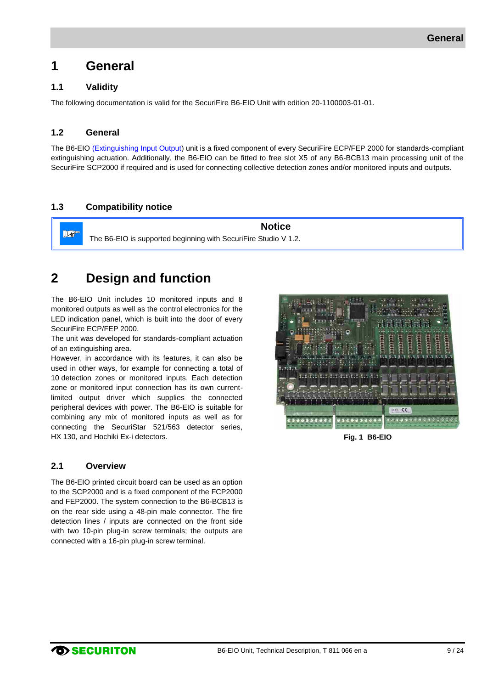# <span id="page-8-0"></span>**1 General**

# <span id="page-8-1"></span>**1.1 Validity**

The following documentation is valid for the SecuriFire B6-EIO Unit with edition 20-1100003-01-01.

### <span id="page-8-2"></span>**1.2 General**

 $\mathbb{R}^n$ 

The B6-EIO (Extinguishing Input Output) unit is a fixed component of every SecuriFire ECP/FEP 2000 for standards-compliant extinguishing actuation. Additionally, the B6-EIO can be fitted to free slot X5 of any B6-BCB13 main processing unit of the SecuriFire SCP2000 if required and is used for connecting collective detection zones and/or monitored inputs and outputs.

# <span id="page-8-3"></span>**1.3 Compatibility notice**

**Notice** The B6-EIO is supported beginning with SecuriFire Studio V 1.2.

# <span id="page-8-4"></span>**2 Design and function**

The B6-EIO Unit includes 10 monitored inputs and 8 monitored outputs as well as the control electronics for the LED indication panel, which is built into the door of every SecuriFire ECP/FEP 2000.

The unit was developed for standards-compliant actuation of an extinguishing area.

However, in accordance with its features, it can also be used in other ways, for example for connecting a total of 10 detection zones or monitored inputs. Each detection zone or monitored input connection has its own currentlimited output driver which supplies the connected peripheral devices with power. The B6-EIO is suitable for combining any mix of monitored inputs as well as for connecting the SecuriStar 521/563 detector series, HX 130, and Hochiki Ex-i detectors.

#### <span id="page-8-5"></span>**2.1 Overview**

The B6-EIO printed circuit board can be used as an option to the SCP2000 and is a fixed component of the FCP2000 and FEP2000. The system connection to the B6-BCB13 is on the rear side using a 48-pin male connector. The fire detection lines / inputs are connected on the front side with two 10-pin plug-in screw terminals; the outputs are connected with a 16-pin plug-in screw terminal.

<span id="page-8-6"></span>

**Fig. 1 B6-EIO**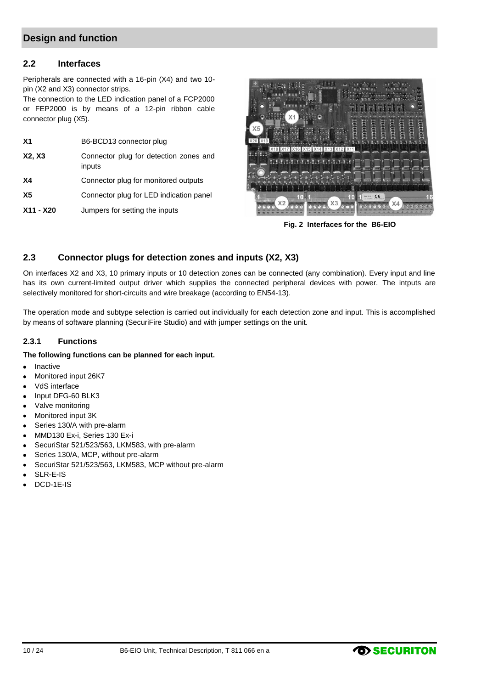# **Design and function**

#### <span id="page-9-1"></span>**2.2 Interfaces**

Peripherals are connected with a 16-pin (X4) and two 10 pin (X2 and X3) connector strips.

The connection to the LED indication panel of a FCP2000 or FEP2000 is by means of a 12-pin ribbon cable connector plug (X5).

| X <sub>1</sub> | B6-BCD13 connector plug                          |
|----------------|--------------------------------------------------|
| X2, X3         | Connector plug for detection zones and<br>inputs |
| <b>X4</b>      | Connector plug for monitored outputs             |
| Х5             | Connector plug for LED indication panel          |
| X11 - X20      | Jumpers for setting the inputs                   |

<span id="page-9-3"></span>

**Fig. 2 Interfaces for the B6-EIO**

### <span id="page-9-2"></span>**2.3 Connector plugs for detection zones and inputs (X2, X3)**

On interfaces X2 and X3, 10 primary inputs or 10 detection zones can be connected (any combination). Every input and line has its own current-limited output driver which supplies the connected peripheral devices with power. The intputs are selectively monitored for short-circuits and wire breakage (according to EN54-13).

The operation mode and subtype selection is carried out individually for each detection zone and input. This is accomplished by means of software planning (SecuriFire Studio) and with jumper settings on the unit.

#### <span id="page-9-0"></span>**2.3.1 Functions**

#### **The following functions can be planned for each input.**

- Inactive  $\bullet$
- Monitored input 26K7
- VdS interface  $\bullet$
- $\bullet$ Input DFG-60 BLK3
- Valve monitoring  $\bullet$
- Monitored input 3K  $\bullet$
- Series 130/A with pre-alarm  $\bullet$
- MMD130 Ex-i, Series 130 Ex-i  $\bullet$
- $\bullet$ SecuriStar 521/523/563, LKM583, with pre-alarm
- Series 130/A, MCP, without pre-alarm  $\bullet$
- SecuriStar 521/523/563, LKM583, MCP without pre-alarm  $\bullet$
- SLR-E-IS ×
- DCD-1E-IS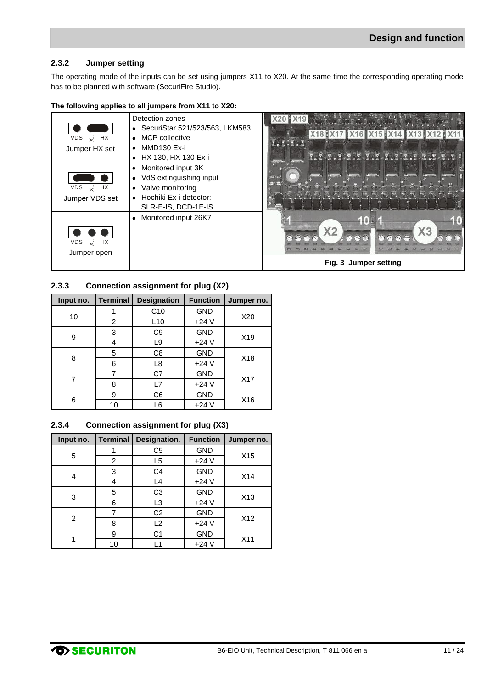#### <span id="page-10-0"></span>**2.3.2 Jumper setting**

The operating mode of the inputs can be set using jumpers X11 to X20. At the same time the corresponding operating mode has to be planned with software (SecuriFire Studio).

| VDS $\times$ HX<br>Jumper HX set   | Detection zones<br>• SecuriStar 521/523/563, LKM583<br><b>MCP</b> collective<br>$\bullet$<br>MMD130 Ex-i<br>٠<br>HX 130, HX 130 Ex-i                      |                                               |
|------------------------------------|-----------------------------------------------------------------------------------------------------------------------------------------------------------|-----------------------------------------------|
| HX<br>VDS<br>نحہ<br>Jumper VDS set | Monitored input 3K<br>$\bullet$<br>VdS extinguishing input<br>$\bullet$<br>Valve monitoring<br>$\bullet$<br>Hochiki Ex-i detector:<br>SLR-E-IS, DCD-1E-IS |                                               |
| $VDS \times HX$<br>Jumper open     | Monitored input 26K7<br>$\bullet$                                                                                                                         | X <sub>3</sub><br>X2<br>Fig. 3 Jumper setting |

#### **The following applies to all jumpers from X11 to X20:**

#### <span id="page-10-3"></span><span id="page-10-1"></span>**2.3.3 Connection assignment for plug (X2)**

| Input no. | <b>Terminal</b> | <b>Designation</b> | <b>Function</b> | Jumper no. |
|-----------|-----------------|--------------------|-----------------|------------|
|           |                 | C <sub>10</sub>    | <b>GND</b>      |            |
| 10        | 2               | L <sub>10</sub>    | $+24V$          | X20        |
|           | 3               | C <sub>9</sub>     | <b>GND</b>      |            |
| 9         | 4               | L9                 | $+24V$          | X19        |
| 8         | 5               | C8                 | <b>GND</b>      |            |
|           | 6               | L8                 | $+24V$          | X18        |
|           | 7               | C7                 | <b>GND</b>      |            |
|           | 8               | L7                 | $+24V$          | X17        |
|           | 9               | C <sub>6</sub>     | <b>GND</b>      |            |
| 6         | 10              | L6                 | $+24V$          | X16        |

#### <span id="page-10-2"></span>**2.3.4 Connection assignment for plug (X3)**

| Input no.      | Terminal | Designation.   | <b>Function</b> | Jumper no.      |
|----------------|----------|----------------|-----------------|-----------------|
|                | 1        | C <sub>5</sub> | <b>GND</b>      |                 |
| 5              | 2        | L5             | $+24V$          | X <sub>15</sub> |
|                | 3        | C4             | <b>GND</b>      | X14             |
| 4              | 4        | L4             | $+24V$          |                 |
| 3              | 5        | C <sub>3</sub> | <b>GND</b>      | X13             |
|                | 6        | L <sub>3</sub> | $+24V$          |                 |
| $\overline{c}$ |          | C <sub>2</sub> | <b>GND</b>      |                 |
|                | 8        | L2             | $+24V$          | X12             |
|                | 9        | C <sub>1</sub> | <b>GND</b>      |                 |
|                | 10       | l 1            | $+24V$          | X11             |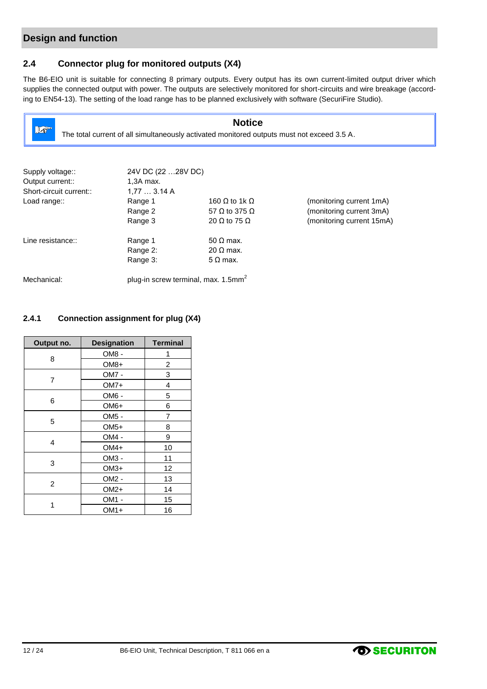# **Design and function**

# <span id="page-11-0"></span>**2.4 Connector plug for monitored outputs (X4)**

The B6-EIO unit is suitable for connecting 8 primary outputs. Every output has its own current-limited output driver which supplies the connected output with power. The outputs are selectively monitored for short-circuits and wire breakage (according to EN54-13). The setting of the load range has to be planned exclusively with software (SecuriFire Studio).

| <b>Notice</b><br>$\mathbb{R}^n$<br>The total current of all simultaneously activated monitored outputs must not exceed 3.5 A. |                                                 |                             |                           |  |
|-------------------------------------------------------------------------------------------------------------------------------|-------------------------------------------------|-----------------------------|---------------------------|--|
|                                                                                                                               |                                                 |                             |                           |  |
| Supply voltage::                                                                                                              | 24V DC (22  28V DC)                             |                             |                           |  |
| Output current::                                                                                                              | 1,3A max.                                       |                             |                           |  |
| Short-circuit current::                                                                                                       | 1.773.14A                                       |                             |                           |  |
| Load range::                                                                                                                  | Range 1                                         | 160 $\Omega$ to 1k $\Omega$ | (monitoring current 1mA)  |  |
|                                                                                                                               | Range 2                                         | 57 $\Omega$ to 375 $\Omega$ | (monitoring current 3mA)  |  |
|                                                                                                                               | Range 3                                         | 20 $\Omega$ to 75 $\Omega$  | (monitoring current 15mA) |  |
| Line resistance::                                                                                                             | Range 1                                         | $50 \Omega$ max.            |                           |  |
|                                                                                                                               | Range 2:                                        | $20 \Omega$ max.            |                           |  |
|                                                                                                                               | Range 3:                                        | $5 \Omega$ max.             |                           |  |
| Mechanical:                                                                                                                   | plug-in screw terminal, max. 1.5mm <sup>2</sup> |                             |                           |  |

# <span id="page-11-1"></span>**2.4.1 Connection assignment for plug (X4)**

| Output no.     | <b>Designation</b> | <b>Terminal</b> |
|----------------|--------------------|-----------------|
|                | OM8 -              | 1               |
| 8              | $OM8+$             | 2               |
|                | OM7 -              | 3               |
| 7              | OM7+               | 4               |
|                | OM6 -              | 5               |
| 6              | OM6+               | 6               |
|                | OM <sub>5</sub> -  | 7               |
| 5              | $OM5+$             | 8               |
|                | OM4 -              | 9               |
| 4              | OM4+               | 10              |
|                | OM3 -              | 11              |
| 3              | $OM3+$             | 12              |
|                | OM2 -              | 13              |
| $\overline{c}$ | $OM2+$             | 14              |
|                | OM1 -              | 15              |
| 1              | OM1+               | 16              |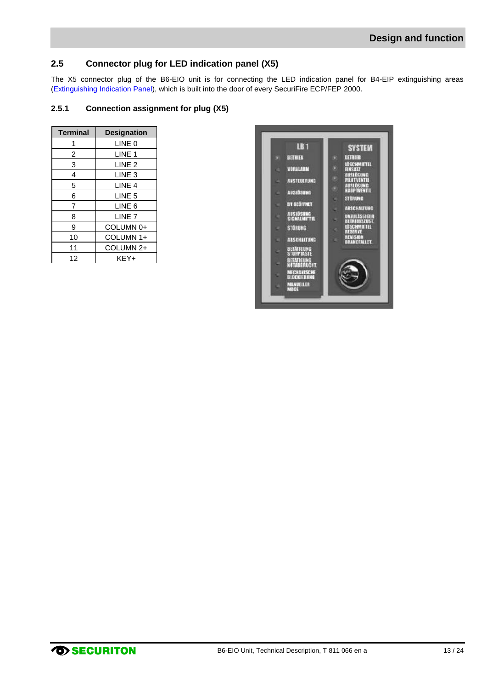# <span id="page-12-0"></span>**2.5 Connector plug for LED indication panel (X5)**

The X5 connector plug of the B6-EIO unit is for connecting the LED indication panel for B4-EIP extinguishing areas (Extinguishing Indication Panel), which is built into the door of every SecuriFire ECP/FEP 2000.

#### <span id="page-12-1"></span>**2.5.1 Connection assignment for plug (X5)**

| <b>Terminal</b> | <b>Designation</b> |
|-----------------|--------------------|
| 1               | LINE 0             |
| 2               | LINE 1             |
| 3               | LINE <sub>2</sub>  |
| 4               | LINE <sub>3</sub>  |
| 5               | LINE 4             |
| 6               | LINE <sub>5</sub>  |
| 7               | LINE 6             |
| 8               | LINE <sub>7</sub>  |
| 9               | COLUMN 0+          |
| 10              | COLUMN 1+          |
| 11              | COLUMN 2+          |
| 12              | KFY+               |

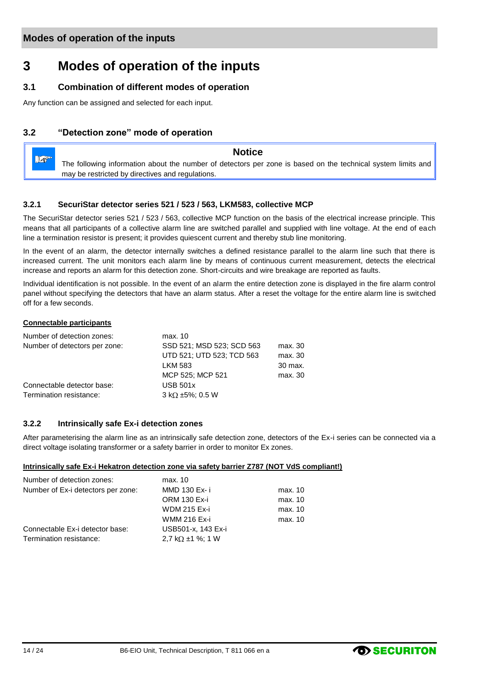# <span id="page-13-1"></span>**3 Modes of operation of the inputs**

# <span id="page-13-2"></span>**3.1 Combination of different modes of operation**

Any function can be assigned and selected for each input.

# <span id="page-13-3"></span>**3.2 "Detection zone" mode of operation**



#### <span id="page-13-0"></span>**3.2.1 SecuriStar detector series 521 / 523 / 563, LKM583, collective MCP**

The SecuriStar detector series 521 / 523 / 563, collective MCP function on the basis of the electrical increase principle. This means that all participants of a collective alarm line are switched parallel and supplied with line voltage. At the end of each line a termination resistor is present; it provides quiescent current and thereby stub line monitoring.

In the event of an alarm, the detector internally switches a defined resistance parallel to the alarm line such that there is increased current. The unit monitors each alarm line by means of continuous current measurement, detects the electrical increase and reports an alarm for this detection zone. Short-circuits and wire breakage are reported as faults.

Individual identification is not possible. In the event of an alarm the entire detection zone is displayed in the fire alarm control panel without specifying the detectors that have an alarm status. After a reset the voltage for the entire alarm line is switched off for a few seconds.

#### **Connectable participants**

| Number of detection zones:    | max. 10                     |         |
|-------------------------------|-----------------------------|---------|
| Number of detectors per zone: | SSD 521: MSD 523: SCD 563   | max. 30 |
|                               | UTD 521; UTD 523; TCD 563   | max. 30 |
|                               | <b>LKM 583</b>              | 30 max. |
|                               | MCP 525; MCP 521            | max. 30 |
| Connectable detector base:    | <b>USB 501x</b>             |         |
| Termination resistance:       | $3 k\Omega \pm 5\%$ ; 0.5 W |         |

#### <span id="page-13-4"></span>**3.2.2 Intrinsically safe Ex-i detection zones**

After parameterising the alarm line as an intrinsically safe detection zone, detectors of the Ex-i series can be connected via a direct voltage isolating transformer or a safety barrier in order to monitor Ex zones.

#### **Intrinsically safe Ex-i Hekatron detection zone via safety barrier Z787 (NOT VdS compliant!)**

| Number of detection zones:         | max. 10                  |         |
|------------------------------------|--------------------------|---------|
| Number of Ex-i detectors per zone: | MMD 130 Ex-i             | max. 10 |
|                                    | <b>ORM 130 Ex-i</b>      | max. 10 |
|                                    | <b>WDM 215 Ex-i</b>      | max. 10 |
|                                    | <b>WMM 216 Ex-i</b>      | max. 10 |
| Connectable Ex-i detector base:    | USB501-x, 143 Ex-i       |         |
| Termination resistance:            | 2.7 k $\Omega$ ±1 %; 1 W |         |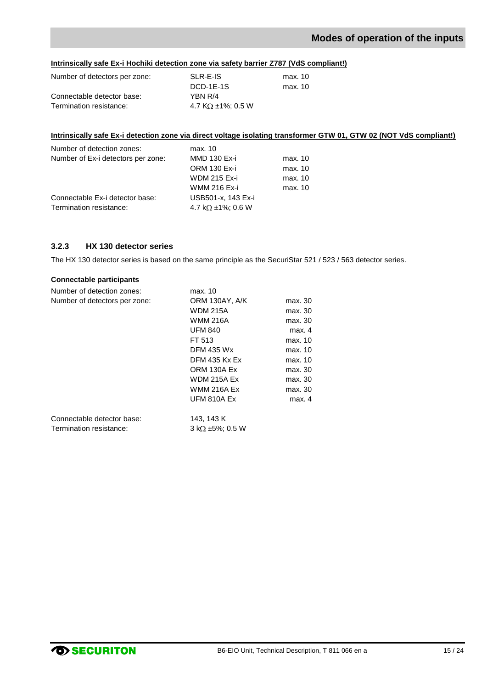# **Modes of operation of the inputs**

#### **Intrinsically safe Ex-i Hochiki detection zone via safety barrier Z787 (VdS compliant!)**

| Number of detectors per zone: | SLR-E-IS                  | max. 10 |
|-------------------------------|---------------------------|---------|
|                               | DCD-1E-1S                 | max. 10 |
| Connectable detector base:    | YBN R/4                   |         |
| Termination resistance:       | 4.7 K $\Omega$ ±1%: 0.5 W |         |

#### **Intrinsically safe Ex-i detection zone via direct voltage isolating transformer GTW 01, GTW 02 (NOT VdS compliant!)**

| Number of detection zones:         | max. 10                   |         |
|------------------------------------|---------------------------|---------|
| Number of Ex-i detectors per zone: | <b>MMD 130 Ex-i</b>       | max. 10 |
|                                    | <b>ORM 130 Ex-i</b>       | max. 10 |
|                                    | <b>WDM 215 Ex-i</b>       | max. 10 |
|                                    | <b>WMM 216 Ex-i</b>       | max. 10 |
| Connectable Ex-i detector base:    | USB501-x, 143 Ex-i        |         |
| Termination resistance:            | 4.7 k $\Omega$ ±1%; 0.6 W |         |

#### <span id="page-14-0"></span>**3.2.3 HX 130 detector series**

The HX 130 detector series is based on the same principle as the SecuriStar 521 / 523 / 563 detector series.

#### **Connectable participants**

| Number of detection zones:    | max. 10                     |         |
|-------------------------------|-----------------------------|---------|
| Number of detectors per zone: | ORM 130AY, A/K              | max. 30 |
|                               | <b>WDM 215A</b>             | max. 30 |
|                               | <b>WMM 216A</b>             | max. 30 |
|                               | <b>UFM 840</b>              | max. 4  |
|                               | FT 513                      | max. 10 |
|                               | <b>DFM 435 Wx</b>           | max. 10 |
|                               | <b>DFM 435 Kx Ex</b>        | max. 10 |
|                               | ORM 130A Ex                 | max. 30 |
|                               | <b>WDM 215A Ex</b>          | max. 30 |
|                               | <b>WMM 216A Ex</b>          | max. 30 |
|                               | <b>UFM 810A Ex</b>          | max. 4  |
| Connectable detector base:    | 143, 143 K                  |         |
| Termination resistance:       | $3 k\Omega \pm 5\%$ : 0.5 W |         |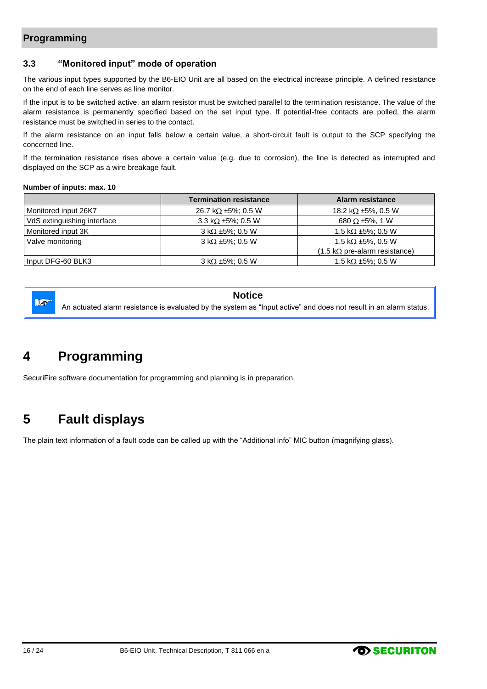# **Programming**

### <span id="page-15-0"></span>**3.3 "Monitored input" mode of operation**

The various input types supported by the B6-EIO Unit are all based on the electrical increase principle. A defined resistance on the end of each line serves as line monitor.

If the input is to be switched active, an alarm resistor must be switched parallel to the termination resistance. The value of the alarm resistance is permanently specified based on the set input type. If potential-free contacts are polled, the alarm resistance must be switched in series to the contact.

If the alarm resistance on an input falls below a certain value, a short-circuit fault is output to the SCP specifying the concerned line.

If the termination resistance rises above a certain value (e.g. due to corrosion), the line is detected as interrupted and displayed on the SCP as a wire breakage fault.

#### **Number of inputs: max. 10**

|                             | <b>Termination resistance</b> | Alarm resistance                                     |
|-----------------------------|-------------------------------|------------------------------------------------------|
| Monitored input 26K7        | 26.7 k $\Omega$ ±5%; 0.5 W    | 18.2 k $\Omega$ ±5%, 0.5 W                           |
| VdS extinguishing interface | 3.3 k $\Omega$ ±5%; 0.5 W     | 680 $\Omega$ ±5%, 1 W                                |
| Monitored input 3K          | $3 k\Omega \pm 5\%$ ; 0.5 W   | 1.5 k $\Omega$ ±5%; 0.5 W                            |
| Valve monitoring            | $3 k\Omega \pm 5\%$ : 0.5 W   | 1.5 k $\Omega$ ±5%, 0.5 W                            |
|                             |                               | $(1.5 \text{ k}\Omega \text{ pre-alarm resistance})$ |
| Input DFG-60 BLK3           | $3 k\Omega \pm 5\%$ ; 0.5 W   | 1.5 k $\Omega$ ±5%; 0.5 W                            |

 $\mathbb{R}^n$ 

#### **Notice**

An actuated alarm resistance is evaluated by the system as "Input active" and does not result in an alarm status.

# <span id="page-15-1"></span>**4 Programming**

SecuriFire software documentation for programming and planning is in preparation.

# <span id="page-15-2"></span>**5 Fault displays**

The plain text information of a fault code can be called up with the "Additional info" MIC button (magnifying glass).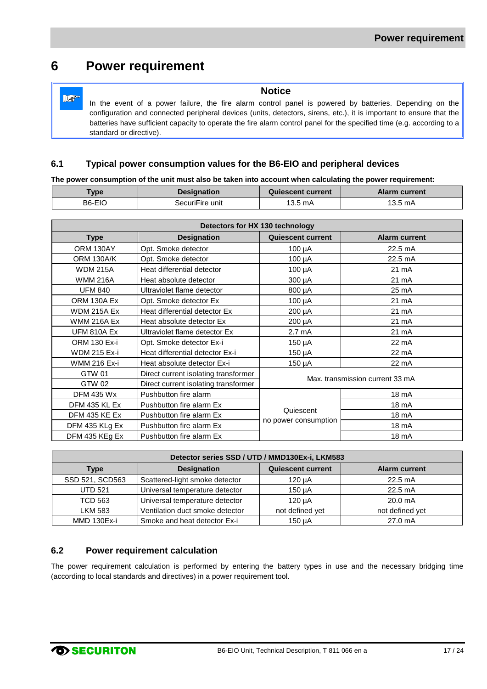# <span id="page-16-1"></span>**6 Power requirement**

Lo

**Notice** In the event of a power failure, the fire alarm control panel is powered by batteries. Depending on the configuration and connected peripheral devices (units, detectors, sirens, etc.), it is important to ensure that the batteries have sufficient capacity to operate the fire alarm control panel for the specified time (e.g. according to a standard or directive).

### <span id="page-16-0"></span>**6.1 Typical power consumption values for the B6-EIO and peripheral devices**

**The power consumption of the unit must also be taken into account when calculating the power requirement:**

| <b>Type</b> | <b>Designation</b> | <b>Quiescent current</b> | <b>Alarm current</b> |
|-------------|--------------------|--------------------------|----------------------|
| B6-EIO      | SecuriFire unit    | 13.5 mA                  | 13.5 mA              |

| Detectors for HX 130 technology |                                      |                                 |                      |
|---------------------------------|--------------------------------------|---------------------------------|----------------------|
| <b>Type</b>                     | <b>Designation</b>                   | <b>Quiescent current</b>        | <b>Alarm current</b> |
| ORM 130AY                       | Opt. Smoke detector                  | 100 µA                          | 22.5 mA              |
| ORM 130A/K                      | Opt. Smoke detector                  | $100 \mu A$                     | 22.5 mA              |
| <b>WDM 215A</b>                 | Heat differential detector           | 100 µA                          | 21 mA                |
| <b>WMM 216A</b>                 | Heat absolute detector               | 300 µA                          | 21 mA                |
| <b>UFM 840</b>                  | Ultraviolet flame detector           | 800 µA                          | 25 mA                |
| ORM 130A Ex                     | Opt. Smoke detector Ex               | $100 \mu A$                     | 21 mA                |
| <b>WDM 215A Ex</b>              | Heat differential detector Ex        | 200 µA                          | 21 mA                |
| <b>WMM 216A Ex</b>              | Heat absolute detector Ex            | 200 µA                          | 21 mA                |
| <b>UFM 810A Ex</b>              | Ultraviolet flame detector Ex        | 2.7 mA                          | 21 mA                |
| <b>ORM 130 Ex-i</b>             | Opt. Smoke detector Ex-i             | 150 µA                          | 22 mA                |
| <b>WDM 215 Ex-i</b>             | Heat differential detector Ex-i      | $150 \mu A$                     | 22 mA                |
| <b>WMM 216 Ex-i</b>             | Heat absolute detector Ex-i          | 150 µA                          | 22 mA                |
| GTW 01                          | Direct current isolating transformer |                                 |                      |
| GTW 02                          | Direct current isolating transformer | Max. transmission current 33 mA |                      |
| <b>DFM 435 Wx</b>               | Pushbutton fire alarm                |                                 | 18 mA                |
| DFM 435 KL Ex                   | Pushbutton fire alarm Ex             |                                 | 18 mA                |
| DFM 435 KE Ex                   | Pushbutton fire alarm Ex             | Quiescent                       | 18 mA                |
| DFM 435 KLg Ex                  | Pushbutton fire alarm Ex             | no power consumption            | 18 mA                |
| DFM 435 KEg Ex                  | Pushbutton fire alarm Ex             |                                 | 18 mA                |

| Detector series SSD / UTD / MMD130Ex-i, LKM583 |                                 |                          |                      |
|------------------------------------------------|---------------------------------|--------------------------|----------------------|
| <b>Type</b>                                    | <b>Designation</b>              | <b>Quiescent current</b> | <b>Alarm current</b> |
| SSD 521, SCD563                                | Scattered-light smoke detector  | $120 \mu A$              | $22.5 \text{ mA}$    |
| <b>UTD 521</b>                                 | Universal temperature detector  | $150 \mu A$              | $22.5 \text{ mA}$    |
| <b>TCD 563</b>                                 | Universal temperature detector  | 120 uA                   | 20.0 <sub>m</sub> A  |
| <b>LKM 583</b>                                 | Ventilation duct smoke detector | not defined yet          | not defined yet      |
| <b>MMD 130Ex-i</b>                             | Smoke and heat detector Ex-i    | 150 uA                   | 27.0 mA              |

### <span id="page-16-2"></span>**6.2 Power requirement calculation**

The power requirement calculation is performed by entering the battery types in use and the necessary bridging time (according to local standards and directives) in a power requirement tool.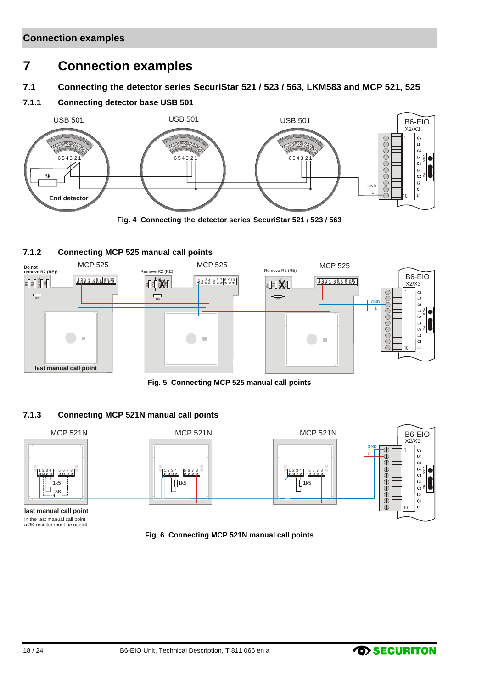# <span id="page-17-1"></span>**7 Connection examples**

<span id="page-17-0"></span>**7.1 Connecting the detector series SecuriStar 521 / 523 / 563, LKM583 and MCP 521, 525**

### <span id="page-17-2"></span>**7.1.1 Connecting detector base USB 501**



### <span id="page-17-5"></span><span id="page-17-3"></span>**7.1.2 Connecting MCP 525 manual call points**



**Fig. 5 Connecting MCP 525 manual call points**

#### <span id="page-17-6"></span><span id="page-17-4"></span>**7.1.3 Connecting MCP 521N manual call points**



<span id="page-17-7"></span>In the last manual call point a 3K resistor must be used4

**Fig. 6 Connecting MCP 521N manual call points**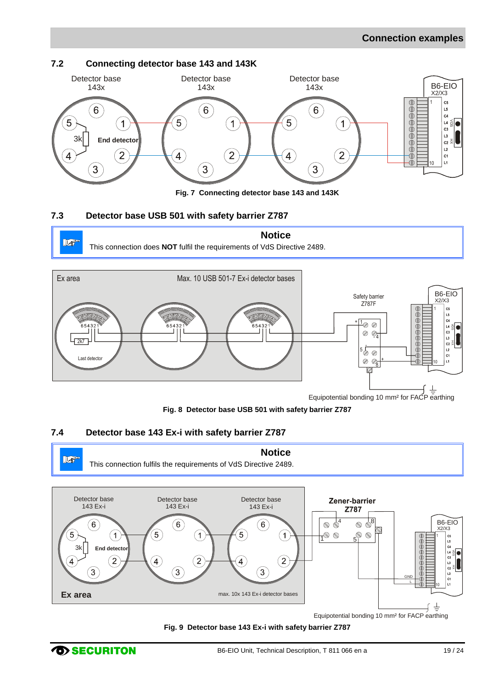# <span id="page-18-1"></span>**7.2 Connecting detector base 143 and 143K**



#### <span id="page-18-3"></span><span id="page-18-0"></span>**7.3 Detector base USB 501 with safety barrier Z787**





**Fig. 8 Detector base USB 501 with safety barrier Z787**

# <span id="page-18-4"></span><span id="page-18-2"></span>**7.4 Detector base 143 Ex-i with safety barrier Z787**



<span id="page-18-5"></span>**Fig. 9 Detector base 143 Ex-i with safety barrier Z787**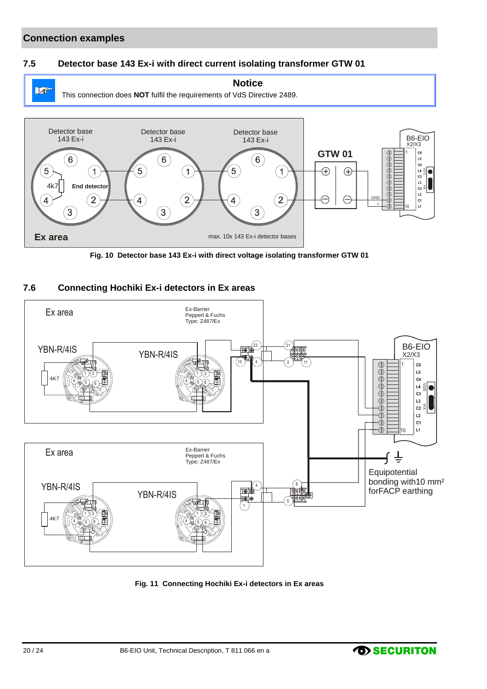# **Connection examples**

#### <span id="page-19-0"></span>**7.5 Detector base 143 Ex-i with direct current isolating transformer GTW 01**



**Fig. 10 Detector base 143 Ex-i with direct voltage isolating transformer GTW 01**

#### <span id="page-19-2"></span><span id="page-19-1"></span>**7.6 Connecting Hochiki Ex-i detectors in Ex areas**



<span id="page-19-3"></span>**Fig. 11 Connecting Hochiki Ex-i detectors in Ex areas**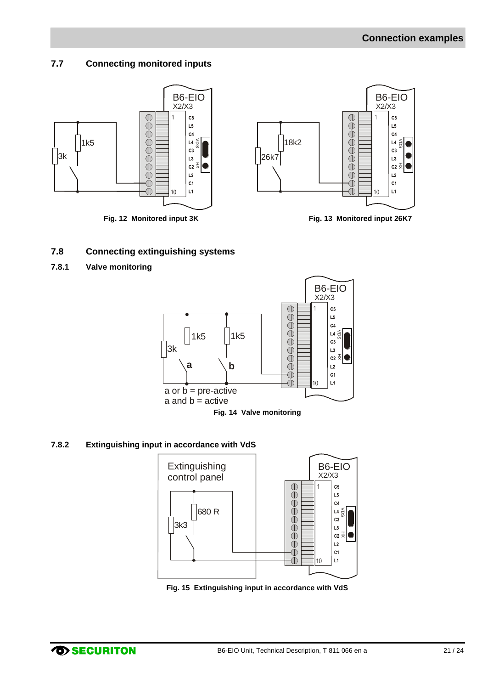# <span id="page-20-0"></span>**7.7 Connecting monitored inputs**



### <span id="page-20-4"></span><span id="page-20-1"></span>**7.8 Connecting extinguishing systems**

<span id="page-20-2"></span>**7.8.1 Valve monitoring**

<span id="page-20-5"></span>

#### <span id="page-20-6"></span><span id="page-20-3"></span>**7.8.2 Extinguishing input in accordance with VdS**



<span id="page-20-7"></span>**Fig. 15 Extinguishing input in accordance with VdS**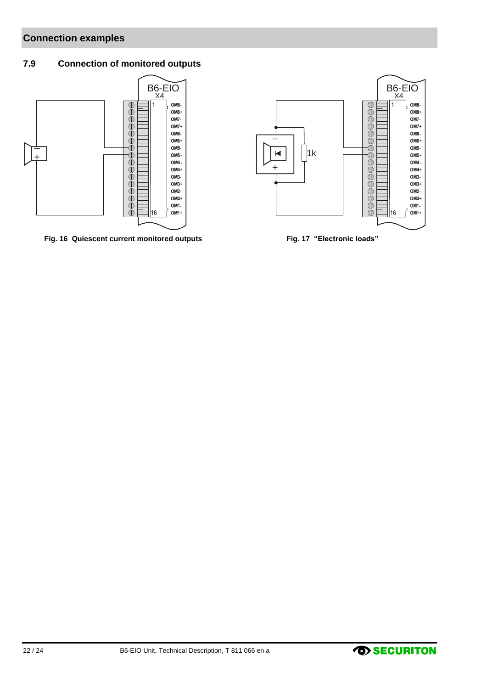# **Connection examples**

# <span id="page-21-0"></span>**7.9 Connection of monitored outputs**



<span id="page-21-1"></span>**Fig. 16 Quiescent current monitored outputs Fig. 17 "Electronic loads"**



<span id="page-21-2"></span>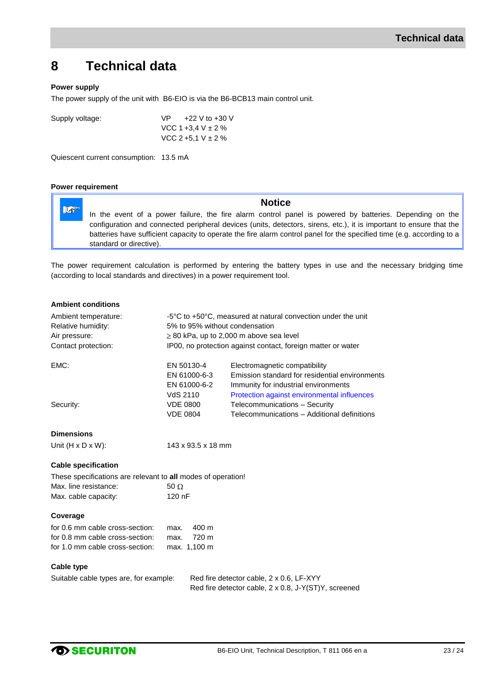# <span id="page-22-0"></span>**8 Technical data**

#### **Power supply**

The power supply of the unit with B6-EIO is via the B6-BCB13 main control unit.

Supply voltage:  $VP$  +22 V to +30 V VCC 1 +3,4 V ± 2 % VCC 2 +5,1 V ± 2 %

Quiescent current consumption: 13.5 mA

#### **Power requirement**

**Notice**  $\mathbb{R}^n$ In the event of a power failure, the fire alarm control panel is powered by batteries. Depending on the configuration and connected peripheral devices (units, detectors, sirens, etc.), it is important to ensure that the batteries have sufficient capacity to operate the fire alarm control panel for the specified time (e.g. according to a standard or directive).

The power requirement calculation is performed by entering the battery types in use and the necessary bridging time (according to local standards and directives) in a power requirement tool.

| <b>Ambient conditions</b>                                                          |                                                                                                |                                                                                                                                                                        |  |
|------------------------------------------------------------------------------------|------------------------------------------------------------------------------------------------|------------------------------------------------------------------------------------------------------------------------------------------------------------------------|--|
| Ambient temperature:<br>Relative humidity:                                         | -5°C to +50°C, measured at natural convection under the unit<br>5% to 95% without condensation |                                                                                                                                                                        |  |
| Air pressure:                                                                      |                                                                                                | $\geq$ 80 kPa, up to 2,000 m above sea level                                                                                                                           |  |
| Contact protection:                                                                |                                                                                                | IP00, no protection against contact, foreign matter or water                                                                                                           |  |
| EMC:                                                                               | EN 50130-4<br>EN 61000-6-3<br>EN 61000-6-2<br>VdS 2110                                         | Electromagnetic compatibility<br>Emission standard for residential environments<br>Immunity for industrial environments<br>Protection against environmental influences |  |
| Security:                                                                          | <b>VDE 0800</b>                                                                                | Telecommunications - Security                                                                                                                                          |  |
|                                                                                    | <b>VDE 0804</b>                                                                                | Telecommunications - Additional definitions                                                                                                                            |  |
| <b>Dimensions</b>                                                                  |                                                                                                |                                                                                                                                                                        |  |
| Unit $(H \times D \times W)$ :                                                     | 143 x 93.5 x 18 mm                                                                             |                                                                                                                                                                        |  |
| <b>Cable specification</b>                                                         |                                                                                                |                                                                                                                                                                        |  |
| These specifications are relevant to all modes of operation!                       |                                                                                                |                                                                                                                                                                        |  |
| Max. line resistance:                                                              | $50 \Omega$                                                                                    |                                                                                                                                                                        |  |
| Max. cable capacity:                                                               | $120$ nF                                                                                       |                                                                                                                                                                        |  |
| Coverage                                                                           |                                                                                                |                                                                                                                                                                        |  |
| for 0.6 mm cable cross-section:                                                    | 400 m<br>max.                                                                                  |                                                                                                                                                                        |  |
| for 0.8 mm cable cross-section:                                                    | 720 m<br>max.                                                                                  |                                                                                                                                                                        |  |
| for 1.0 mm cable cross-section:                                                    | max. 1,100 m                                                                                   |                                                                                                                                                                        |  |
| <b>Cable type</b>                                                                  |                                                                                                |                                                                                                                                                                        |  |
| Suitable cable types are, for example:<br>Red fire detector cable, 2 x 0.6, LF-XYY |                                                                                                |                                                                                                                                                                        |  |
|                                                                                    |                                                                                                | Red fire detector cable, 2 x 0.8, J-Y(ST)Y, screened                                                                                                                   |  |